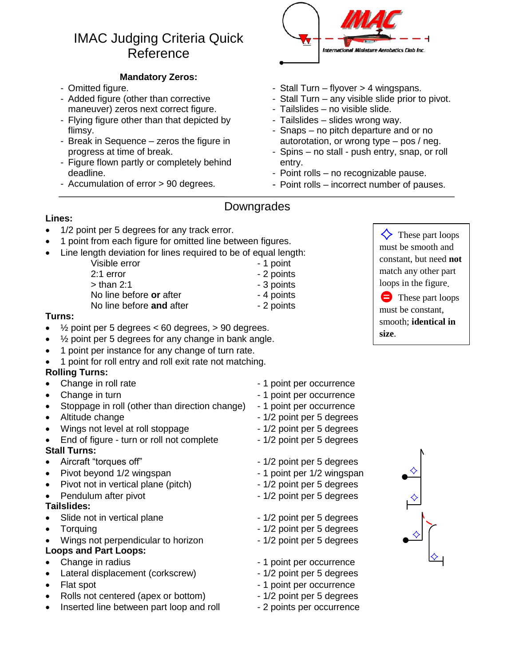# IMAC Judging Criteria Quick Reference

### **Mandatory Zeros:**

- Omitted figure.
- Added figure (other than corrective maneuver) zeros next correct figure.
- Flying figure other than that depicted by flimsy.
- Break in Sequence zeros the figure in progress at time of break.
- Figure flown partly or completely behind deadline.
- Accumulation of error > 90 degrees.



- Stall Turn flyover > 4 wingspans.
- Stall Turn any visible slide prior to pivot.
- Tailslides no visible slide.
- Tailslides slides wrong way.
- Snaps no pitch departure and or no autorotation, or wrong type – pos / neg.
- Spins no stall push entry, snap, or roll entry.
- Point rolls no recognizable pause.
- Point rolls incorrect number of pauses.

## Downgrades

### **Lines:**

- 1/2 point per 5 degrees for any track error.
- 1 point from each figure for omitted line between figures.
- Line length deviation for lines required to be of equal length:
	- Visible error **and 1** and 1 point 2:1 error 2:1 error  $>$  than 2:1  $\qquad \qquad$  - 3 points No line before or after **- 4 points** 
		-
		-
		-
	- No line before **and** after 2 points

### **Turns:**

- $\frac{1}{2}$  point per 5 degrees < 60 degrees, > 90 degrees.
- ½ point per 5 degrees for any change in bank angle.
- 1 point per instance for any change of turn rate.
- 1 point for roll entry and roll exit rate not matching.

### **Rolling Turns:**

- Change in roll rate  $\overline{ }$  1 point per occurrence
- 
- Stoppage in roll (other than direction change) 1 point per occurrence
- 
- Wings not level at roll stoppage 1/2 point per 5 degrees
- End of figure turn or roll not complete 1/2 point per 5 degrees
- **Stall Turns:**
- 
- 
- Pivot not in vertical plane (pitch) 1/2 point per 5 degrees
- 

### **Tailslides:**

- Slide not in vertical plane 1/2 point per 5 degrees
- 
- Wings not perpendicular to horizon 1/2 point per 5 degrees

### **Loops and Part Loops:**

- 
- Lateral displacement (corkscrew) 1/2 point per 5 degrees
- 
- Rolls not centered (apex or bottom) 1/2 point per 5 degrees
- Inserted line between part loop and roll 2 points per occurrence
- Change in turn 1 point per occurrence Altitude change  $-1/2$  point per 5 degrees
	-
- Aircraft "torques off" and the state of the 1/2 point per 5 degrees
- Pivot beyond 1/2 wingspan 1 point per 1/2 wingspan
	-
- Pendulum after pivot **COV 1/2 point per 5 degrees** 
	-
- Torquing Torquing  $1/2$  point per 5 degrees
	-
- Change in radius **Change in radius** 1 point per occurrence
	-
- Flat spot  $\bullet$  Flat spot
	-
	-



 These part loops must be constant, smooth; **identical in size**.